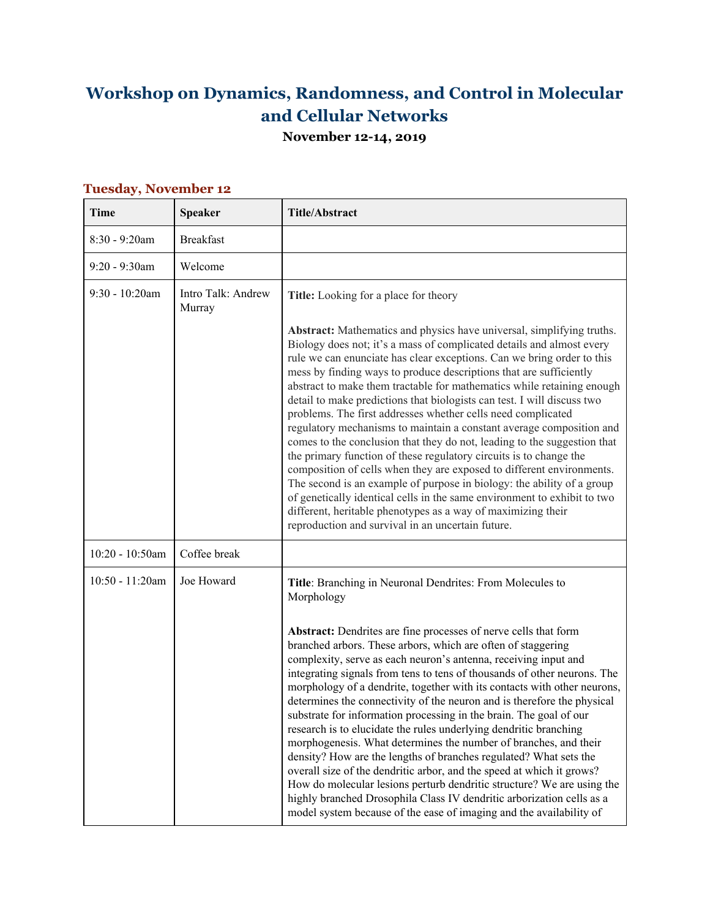## **Workshop on Dynamics, Randomness, and Control in Molecular and Cellular Networks**

**November 12-14, 2019**

| Time               | <b>Speaker</b>               | <b>Title/Abstract</b>                                                                                                                                                                                                                                                                                                                                                                                                                                                                                                                                                                                                                                                                                                                                                                                                                                                                                                                                                                                                                                                                                    |
|--------------------|------------------------------|----------------------------------------------------------------------------------------------------------------------------------------------------------------------------------------------------------------------------------------------------------------------------------------------------------------------------------------------------------------------------------------------------------------------------------------------------------------------------------------------------------------------------------------------------------------------------------------------------------------------------------------------------------------------------------------------------------------------------------------------------------------------------------------------------------------------------------------------------------------------------------------------------------------------------------------------------------------------------------------------------------------------------------------------------------------------------------------------------------|
| 8:30 - 9:20am      | <b>Breakfast</b>             |                                                                                                                                                                                                                                                                                                                                                                                                                                                                                                                                                                                                                                                                                                                                                                                                                                                                                                                                                                                                                                                                                                          |
| $9:20 - 9:30$ am   | Welcome                      |                                                                                                                                                                                                                                                                                                                                                                                                                                                                                                                                                                                                                                                                                                                                                                                                                                                                                                                                                                                                                                                                                                          |
| $9:30 - 10:20$ am  | Intro Talk: Andrew<br>Murray | Title: Looking for a place for theory                                                                                                                                                                                                                                                                                                                                                                                                                                                                                                                                                                                                                                                                                                                                                                                                                                                                                                                                                                                                                                                                    |
|                    |                              | <b>Abstract:</b> Mathematics and physics have universal, simplifying truths.<br>Biology does not; it's a mass of complicated details and almost every<br>rule we can enunciate has clear exceptions. Can we bring order to this<br>mess by finding ways to produce descriptions that are sufficiently<br>abstract to make them tractable for mathematics while retaining enough<br>detail to make predictions that biologists can test. I will discuss two<br>problems. The first addresses whether cells need complicated<br>regulatory mechanisms to maintain a constant average composition and<br>comes to the conclusion that they do not, leading to the suggestion that<br>the primary function of these regulatory circuits is to change the<br>composition of cells when they are exposed to different environments.<br>The second is an example of purpose in biology: the ability of a group<br>of genetically identical cells in the same environment to exhibit to two<br>different, heritable phenotypes as a way of maximizing their<br>reproduction and survival in an uncertain future. |
| 10:20 - 10:50am    | Coffee break                 |                                                                                                                                                                                                                                                                                                                                                                                                                                                                                                                                                                                                                                                                                                                                                                                                                                                                                                                                                                                                                                                                                                          |
| $10:50 - 11:20$ am | Joe Howard                   | Title: Branching in Neuronal Dendrites: From Molecules to<br>Morphology                                                                                                                                                                                                                                                                                                                                                                                                                                                                                                                                                                                                                                                                                                                                                                                                                                                                                                                                                                                                                                  |
|                    |                              | Abstract: Dendrites are fine processes of nerve cells that form<br>branched arbors. These arbors, which are often of staggering<br>complexity, serve as each neuron's antenna, receiving input and<br>integrating signals from tens to tens of thousands of other neurons. The<br>morphology of a dendrite, together with its contacts with other neurons,<br>determines the connectivity of the neuron and is therefore the physical<br>substrate for information processing in the brain. The goal of our<br>research is to elucidate the rules underlying dendritic branching<br>morphogenesis. What determines the number of branches, and their<br>density? How are the lengths of branches regulated? What sets the<br>overall size of the dendritic arbor, and the speed at which it grows?<br>How do molecular lesions perturb dendritic structure? We are using the<br>highly branched Drosophila Class IV dendritic arborization cells as a<br>model system because of the ease of imaging and the availability of                                                                             |

## **Tuesday, November 12**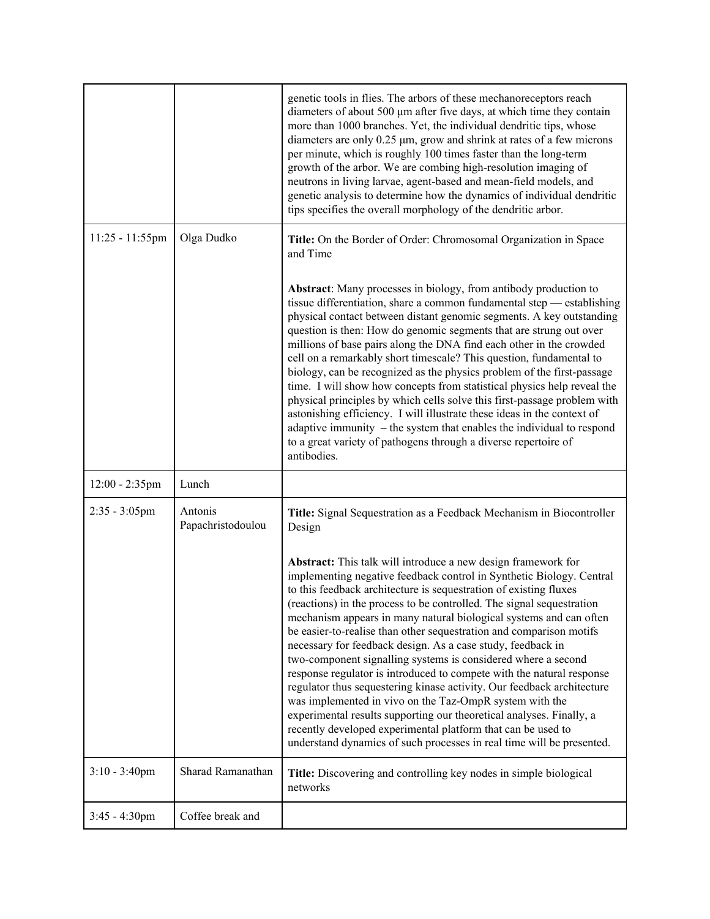|                    |                              | genetic tools in flies. The arbors of these mechanoreceptors reach<br>diameters of about 500 µm after five days, at which time they contain<br>more than 1000 branches. Yet, the individual dendritic tips, whose<br>diameters are only 0.25 µm, grow and shrink at rates of a few microns<br>per minute, which is roughly 100 times faster than the long-term<br>growth of the arbor. We are combing high-resolution imaging of<br>neutrons in living larvae, agent-based and mean-field models, and<br>genetic analysis to determine how the dynamics of individual dendritic<br>tips specifies the overall morphology of the dendritic arbor.                                                                                                                                                                                                                                                                                                                                                |
|--------------------|------------------------------|-------------------------------------------------------------------------------------------------------------------------------------------------------------------------------------------------------------------------------------------------------------------------------------------------------------------------------------------------------------------------------------------------------------------------------------------------------------------------------------------------------------------------------------------------------------------------------------------------------------------------------------------------------------------------------------------------------------------------------------------------------------------------------------------------------------------------------------------------------------------------------------------------------------------------------------------------------------------------------------------------|
| $11:25 - 11:55$ pm | Olga Dudko                   | Title: On the Border of Order: Chromosomal Organization in Space<br>and Time                                                                                                                                                                                                                                                                                                                                                                                                                                                                                                                                                                                                                                                                                                                                                                                                                                                                                                                    |
|                    |                              | <b>Abstract:</b> Many processes in biology, from antibody production to<br>tissue differentiation, share a common fundamental step - establishing<br>physical contact between distant genomic segments. A key outstanding<br>question is then: How do genomic segments that are strung out over<br>millions of base pairs along the DNA find each other in the crowded<br>cell on a remarkably short timescale? This question, fundamental to<br>biology, can be recognized as the physics problem of the first-passage<br>time. I will show how concepts from statistical physics help reveal the<br>physical principles by which cells solve this first-passage problem with<br>astonishing efficiency. I will illustrate these ideas in the context of<br>adaptive immunity $-$ the system that enables the individual to respond<br>to a great variety of pathogens through a diverse repertoire of<br>antibodies.                                                                          |
| $12:00 - 2:35$ pm  | Lunch                        |                                                                                                                                                                                                                                                                                                                                                                                                                                                                                                                                                                                                                                                                                                                                                                                                                                                                                                                                                                                                 |
| $2:35 - 3:05$ pm   | Antonis<br>Papachristodoulou | Title: Signal Sequestration as a Feedback Mechanism in Biocontroller<br>Design                                                                                                                                                                                                                                                                                                                                                                                                                                                                                                                                                                                                                                                                                                                                                                                                                                                                                                                  |
|                    |                              | Abstract: This talk will introduce a new design framework for<br>implementing negative feedback control in Synthetic Biology. Central<br>to this feedback architecture is sequestration of existing fluxes<br>(reactions) in the process to be controlled. The signal sequestration<br>mechanism appears in many natural biological systems and can often<br>be easier-to-realise than other sequestration and comparison motifs<br>necessary for feedback design. As a case study, feedback in<br>two-component signalling systems is considered where a second<br>response regulator is introduced to compete with the natural response<br>regulator thus sequestering kinase activity. Our feedback architecture<br>was implemented in vivo on the Taz-OmpR system with the<br>experimental results supporting our theoretical analyses. Finally, a<br>recently developed experimental platform that can be used to<br>understand dynamics of such processes in real time will be presented. |
| $3:10 - 3:40$ pm   | Sharad Ramanathan            | Title: Discovering and controlling key nodes in simple biological<br>networks                                                                                                                                                                                                                                                                                                                                                                                                                                                                                                                                                                                                                                                                                                                                                                                                                                                                                                                   |
| $3:45 - 4:30$ pm   | Coffee break and             |                                                                                                                                                                                                                                                                                                                                                                                                                                                                                                                                                                                                                                                                                                                                                                                                                                                                                                                                                                                                 |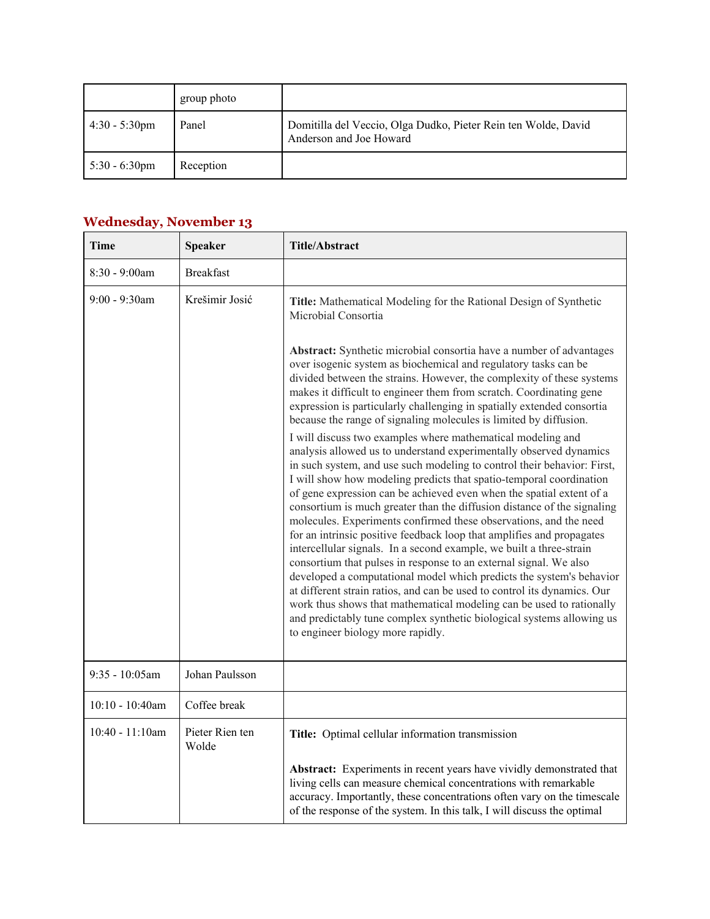|                         | group photo |                                                                                           |
|-------------------------|-------------|-------------------------------------------------------------------------------------------|
| $4:30 - 5:30 \text{pm}$ | Panel       | Domitilla del Veccio, Olga Dudko, Pieter Rein ten Wolde, David<br>Anderson and Joe Howard |
| $5:30 - 6:30$ pm        | Reception   |                                                                                           |

## **Wednesday, November 13**

| <b>Time</b>        | <b>Speaker</b>           | Title/Abstract                                                                                                                                                                                                                                                                                                                                                                                                                                                                                                                                                                                                                                                                                                                                                                                                                                                                                                                                                                                                                                                                                                                                                                                                                                                                                                                                                                                                                                                                                                             |
|--------------------|--------------------------|----------------------------------------------------------------------------------------------------------------------------------------------------------------------------------------------------------------------------------------------------------------------------------------------------------------------------------------------------------------------------------------------------------------------------------------------------------------------------------------------------------------------------------------------------------------------------------------------------------------------------------------------------------------------------------------------------------------------------------------------------------------------------------------------------------------------------------------------------------------------------------------------------------------------------------------------------------------------------------------------------------------------------------------------------------------------------------------------------------------------------------------------------------------------------------------------------------------------------------------------------------------------------------------------------------------------------------------------------------------------------------------------------------------------------------------------------------------------------------------------------------------------------|
| 8:30 - 9:00am      | <b>Breakfast</b>         |                                                                                                                                                                                                                                                                                                                                                                                                                                                                                                                                                                                                                                                                                                                                                                                                                                                                                                                                                                                                                                                                                                                                                                                                                                                                                                                                                                                                                                                                                                                            |
| $9:00 - 9:30$ am   | Krešimir Josić           | Title: Mathematical Modeling for the Rational Design of Synthetic<br>Microbial Consortia                                                                                                                                                                                                                                                                                                                                                                                                                                                                                                                                                                                                                                                                                                                                                                                                                                                                                                                                                                                                                                                                                                                                                                                                                                                                                                                                                                                                                                   |
|                    |                          | <b>Abstract:</b> Synthetic microbial consortia have a number of advantages<br>over isogenic system as biochemical and regulatory tasks can be<br>divided between the strains. However, the complexity of these systems<br>makes it difficult to engineer them from scratch. Coordinating gene<br>expression is particularly challenging in spatially extended consortia<br>because the range of signaling molecules is limited by diffusion.<br>I will discuss two examples where mathematical modeling and<br>analysis allowed us to understand experimentally observed dynamics<br>in such system, and use such modeling to control their behavior: First,<br>I will show how modeling predicts that spatio-temporal coordination<br>of gene expression can be achieved even when the spatial extent of a<br>consortium is much greater than the diffusion distance of the signaling<br>molecules. Experiments confirmed these observations, and the need<br>for an intrinsic positive feedback loop that amplifies and propagates<br>intercellular signals. In a second example, we built a three-strain<br>consortium that pulses in response to an external signal. We also<br>developed a computational model which predicts the system's behavior<br>at different strain ratios, and can be used to control its dynamics. Our<br>work thus shows that mathematical modeling can be used to rationally<br>and predictably tune complex synthetic biological systems allowing us<br>to engineer biology more rapidly. |
| 9:35 - 10:05am     | Johan Paulsson           |                                                                                                                                                                                                                                                                                                                                                                                                                                                                                                                                                                                                                                                                                                                                                                                                                                                                                                                                                                                                                                                                                                                                                                                                                                                                                                                                                                                                                                                                                                                            |
| $10:10 - 10:40$ am | Coffee break             |                                                                                                                                                                                                                                                                                                                                                                                                                                                                                                                                                                                                                                                                                                                                                                                                                                                                                                                                                                                                                                                                                                                                                                                                                                                                                                                                                                                                                                                                                                                            |
| $10:40 - 11:10$ am | Pieter Rien ten<br>Wolde | Title: Optimal cellular information transmission                                                                                                                                                                                                                                                                                                                                                                                                                                                                                                                                                                                                                                                                                                                                                                                                                                                                                                                                                                                                                                                                                                                                                                                                                                                                                                                                                                                                                                                                           |
|                    |                          | Abstract: Experiments in recent years have vividly demonstrated that<br>living cells can measure chemical concentrations with remarkable<br>accuracy. Importantly, these concentrations often vary on the timescale<br>of the response of the system. In this talk, I will discuss the optimal                                                                                                                                                                                                                                                                                                                                                                                                                                                                                                                                                                                                                                                                                                                                                                                                                                                                                                                                                                                                                                                                                                                                                                                                                             |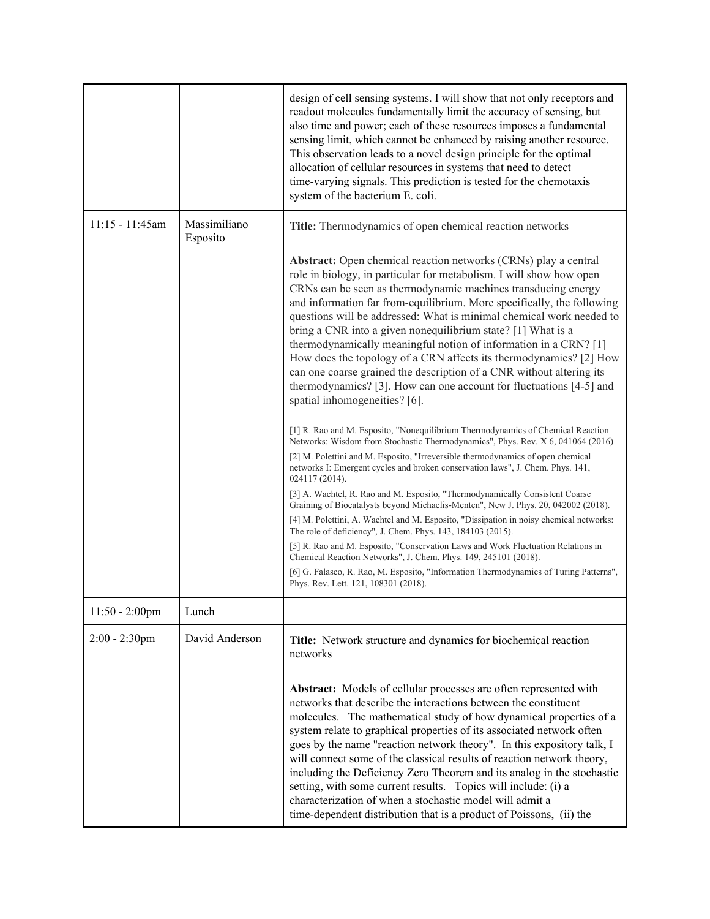|                   |                          | design of cell sensing systems. I will show that not only receptors and<br>readout molecules fundamentally limit the accuracy of sensing, but<br>also time and power; each of these resources imposes a fundamental<br>sensing limit, which cannot be enhanced by raising another resource.<br>This observation leads to a novel design principle for the optimal<br>allocation of cellular resources in systems that need to detect<br>time-varying signals. This prediction is tested for the chemotaxis<br>system of the bacterium E. coli.                                                                                                                                                                                                                                                                                                                                                                                                                                                                                                                                                                                                                                                                                                                                                                                                                                                                                                                                                                                             |
|-------------------|--------------------------|--------------------------------------------------------------------------------------------------------------------------------------------------------------------------------------------------------------------------------------------------------------------------------------------------------------------------------------------------------------------------------------------------------------------------------------------------------------------------------------------------------------------------------------------------------------------------------------------------------------------------------------------------------------------------------------------------------------------------------------------------------------------------------------------------------------------------------------------------------------------------------------------------------------------------------------------------------------------------------------------------------------------------------------------------------------------------------------------------------------------------------------------------------------------------------------------------------------------------------------------------------------------------------------------------------------------------------------------------------------------------------------------------------------------------------------------------------------------------------------------------------------------------------------------|
| $11:15 - 11:45am$ | Massimiliano<br>Esposito | Title: Thermodynamics of open chemical reaction networks                                                                                                                                                                                                                                                                                                                                                                                                                                                                                                                                                                                                                                                                                                                                                                                                                                                                                                                                                                                                                                                                                                                                                                                                                                                                                                                                                                                                                                                                                   |
|                   |                          | <b>Abstract:</b> Open chemical reaction networks (CRNs) play a central<br>role in biology, in particular for metabolism. I will show how open<br>CRNs can be seen as thermodynamic machines transducing energy<br>and information far from-equilibrium. More specifically, the following<br>questions will be addressed: What is minimal chemical work needed to<br>bring a CNR into a given nonequilibrium state? [1] What is a<br>thermodynamically meaningful notion of information in a CRN? [1]<br>How does the topology of a CRN affects its thermodynamics? [2] How<br>can one coarse grained the description of a CNR without altering its<br>thermodynamics? [3]. How can one account for fluctuations [4-5] and<br>spatial inhomogeneities? [6].<br>[1] R. Rao and M. Esposito, "Nonequilibrium Thermodynamics of Chemical Reaction<br>Networks: Wisdom from Stochastic Thermodynamics", Phys. Rev. X 6, 041064 (2016)<br>[2] M. Polettini and M. Esposito, "Irreversible thermodynamics of open chemical<br>networks I: Emergent cycles and broken conservation laws", J. Chem. Phys. 141,<br>024117 (2014).<br>[3] A. Wachtel, R. Rao and M. Esposito, "Thermodynamically Consistent Coarse<br>Graining of Biocatalysts beyond Michaelis-Menten", New J. Phys. 20, 042002 (2018).<br>[4] M. Polettini, A. Wachtel and M. Esposito, "Dissipation in noisy chemical networks:<br>The role of deficiency", J. Chem. Phys. 143, 184103 (2015).<br>[5] R. Rao and M. Esposito, "Conservation Laws and Work Fluctuation Relations in |
|                   |                          | Chemical Reaction Networks", J. Chem. Phys. 149, 245101 (2018).<br>[6] G. Falasco, R. Rao, M. Esposito, "Information Thermodynamics of Turing Patterns",                                                                                                                                                                                                                                                                                                                                                                                                                                                                                                                                                                                                                                                                                                                                                                                                                                                                                                                                                                                                                                                                                                                                                                                                                                                                                                                                                                                   |
|                   |                          | Phys. Rev. Lett. 121, 108301 (2018).                                                                                                                                                                                                                                                                                                                                                                                                                                                                                                                                                                                                                                                                                                                                                                                                                                                                                                                                                                                                                                                                                                                                                                                                                                                                                                                                                                                                                                                                                                       |
| $11:50 - 2:00$ pm | Lunch                    |                                                                                                                                                                                                                                                                                                                                                                                                                                                                                                                                                                                                                                                                                                                                                                                                                                                                                                                                                                                                                                                                                                                                                                                                                                                                                                                                                                                                                                                                                                                                            |
| $2:00 - 2:30$ pm  | David Anderson           | Title: Network structure and dynamics for biochemical reaction<br>networks<br>Abstract: Models of cellular processes are often represented with<br>networks that describe the interactions between the constituent<br>molecules. The mathematical study of how dynamical properties of a<br>system relate to graphical properties of its associated network often<br>goes by the name "reaction network theory". In this expository talk, I<br>will connect some of the classical results of reaction network theory,<br>including the Deficiency Zero Theorem and its analog in the stochastic<br>setting, with some current results. Topics will include: (i) a<br>characterization of when a stochastic model will admit a<br>time-dependent distribution that is a product of Poissons, (ii) the                                                                                                                                                                                                                                                                                                                                                                                                                                                                                                                                                                                                                                                                                                                                       |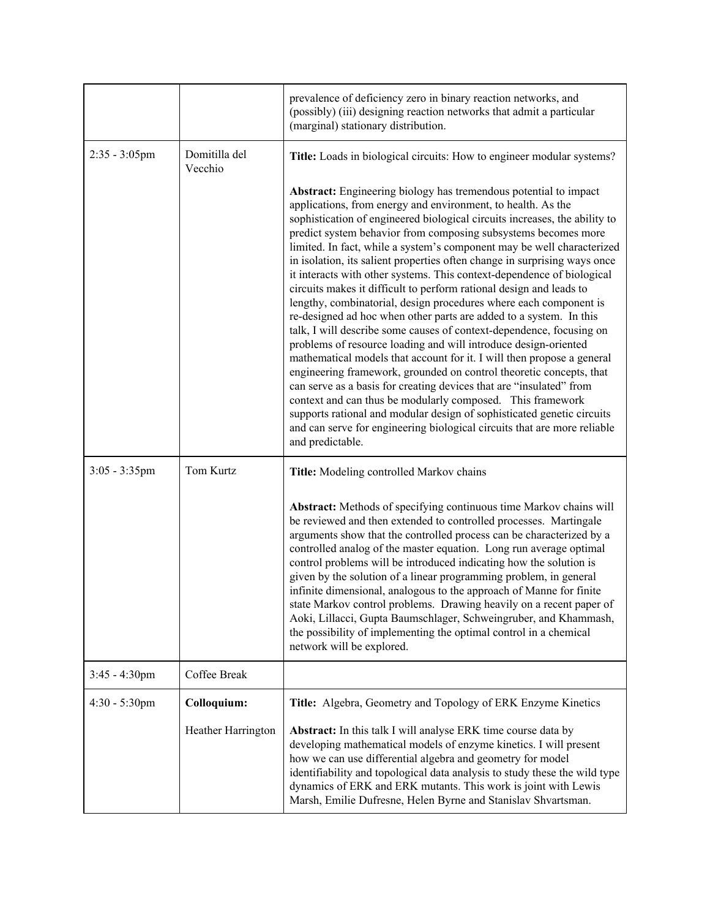|                  |                          | prevalence of deficiency zero in binary reaction networks, and<br>(possibly) (iii) designing reaction networks that admit a particular<br>(marginal) stationary distribution.                                                                                                                                                                                                                                                                                                                                                                                                                                                                                                                                                                                                                                                                                                                                                                                                                                                                                                                                                                                                                                                                                                                                                                         |
|------------------|--------------------------|-------------------------------------------------------------------------------------------------------------------------------------------------------------------------------------------------------------------------------------------------------------------------------------------------------------------------------------------------------------------------------------------------------------------------------------------------------------------------------------------------------------------------------------------------------------------------------------------------------------------------------------------------------------------------------------------------------------------------------------------------------------------------------------------------------------------------------------------------------------------------------------------------------------------------------------------------------------------------------------------------------------------------------------------------------------------------------------------------------------------------------------------------------------------------------------------------------------------------------------------------------------------------------------------------------------------------------------------------------|
| $2:35 - 3:05$ pm | Domitilla del<br>Vecchio | Title: Loads in biological circuits: How to engineer modular systems?                                                                                                                                                                                                                                                                                                                                                                                                                                                                                                                                                                                                                                                                                                                                                                                                                                                                                                                                                                                                                                                                                                                                                                                                                                                                                 |
|                  |                          | <b>Abstract:</b> Engineering biology has tremendous potential to impact<br>applications, from energy and environment, to health. As the<br>sophistication of engineered biological circuits increases, the ability to<br>predict system behavior from composing subsystems becomes more<br>limited. In fact, while a system's component may be well characterized<br>in isolation, its salient properties often change in surprising ways once<br>it interacts with other systems. This context-dependence of biological<br>circuits makes it difficult to perform rational design and leads to<br>lengthy, combinatorial, design procedures where each component is<br>re-designed ad hoc when other parts are added to a system. In this<br>talk, I will describe some causes of context-dependence, focusing on<br>problems of resource loading and will introduce design-oriented<br>mathematical models that account for it. I will then propose a general<br>engineering framework, grounded on control theoretic concepts, that<br>can serve as a basis for creating devices that are "insulated" from<br>context and can thus be modularly composed. This framework<br>supports rational and modular design of sophisticated genetic circuits<br>and can serve for engineering biological circuits that are more reliable<br>and predictable. |
| $3:05 - 3:35$ pm | Tom Kurtz                | Title: Modeling controlled Markov chains                                                                                                                                                                                                                                                                                                                                                                                                                                                                                                                                                                                                                                                                                                                                                                                                                                                                                                                                                                                                                                                                                                                                                                                                                                                                                                              |
|                  |                          | Abstract: Methods of specifying continuous time Markov chains will<br>be reviewed and then extended to controlled processes. Martingale<br>arguments show that the controlled process can be characterized by a<br>controlled analog of the master equation. Long run average optimal<br>control problems will be introduced indicating how the solution is<br>given by the solution of a linear programming problem, in general<br>infinite dimensional, analogous to the approach of Manne for finite<br>state Markov control problems. Drawing heavily on a recent paper of<br>Aoki, Lillacci, Gupta Baumschlager, Schweingruber, and Khammash,<br>the possibility of implementing the optimal control in a chemical<br>network will be explored.                                                                                                                                                                                                                                                                                                                                                                                                                                                                                                                                                                                                  |
| $3:45 - 4:30$ pm | Coffee Break             |                                                                                                                                                                                                                                                                                                                                                                                                                                                                                                                                                                                                                                                                                                                                                                                                                                                                                                                                                                                                                                                                                                                                                                                                                                                                                                                                                       |
| $4:30 - 5:30$ pm | Colloquium:              | Title: Algebra, Geometry and Topology of ERK Enzyme Kinetics                                                                                                                                                                                                                                                                                                                                                                                                                                                                                                                                                                                                                                                                                                                                                                                                                                                                                                                                                                                                                                                                                                                                                                                                                                                                                          |
|                  | Heather Harrington       | Abstract: In this talk I will analyse ERK time course data by<br>developing mathematical models of enzyme kinetics. I will present<br>how we can use differential algebra and geometry for model<br>identifiability and topological data analysis to study these the wild type<br>dynamics of ERK and ERK mutants. This work is joint with Lewis<br>Marsh, Emilie Dufresne, Helen Byrne and Stanislav Shvartsman.                                                                                                                                                                                                                                                                                                                                                                                                                                                                                                                                                                                                                                                                                                                                                                                                                                                                                                                                     |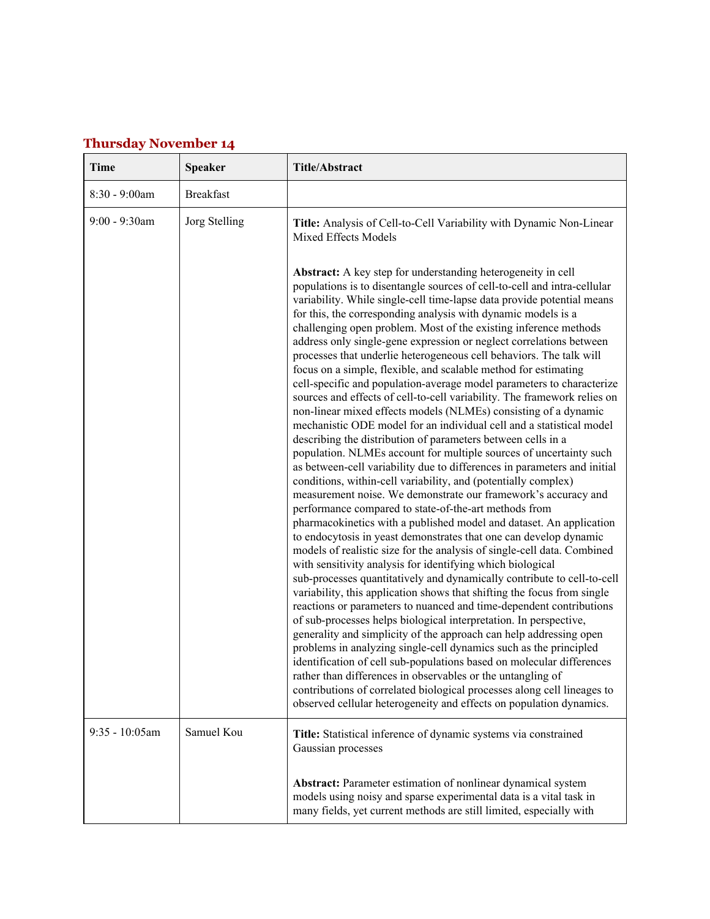## **Thursday November 14**

| Time              | <b>Speaker</b>   | <b>Title/Abstract</b>                                                                                                                                                                                                                                                                                                                                                                                                                                                                                                                                                                                                                                                                                                                                                                                                                                                                                                                                                                                                                                                                                                                                                                                                                                                                                                                                                                                                                                                                                                                                                                                                                                                                                                                                                                                                                                                                                                                                                                                                                                                                                                                                                                                                                               |
|-------------------|------------------|-----------------------------------------------------------------------------------------------------------------------------------------------------------------------------------------------------------------------------------------------------------------------------------------------------------------------------------------------------------------------------------------------------------------------------------------------------------------------------------------------------------------------------------------------------------------------------------------------------------------------------------------------------------------------------------------------------------------------------------------------------------------------------------------------------------------------------------------------------------------------------------------------------------------------------------------------------------------------------------------------------------------------------------------------------------------------------------------------------------------------------------------------------------------------------------------------------------------------------------------------------------------------------------------------------------------------------------------------------------------------------------------------------------------------------------------------------------------------------------------------------------------------------------------------------------------------------------------------------------------------------------------------------------------------------------------------------------------------------------------------------------------------------------------------------------------------------------------------------------------------------------------------------------------------------------------------------------------------------------------------------------------------------------------------------------------------------------------------------------------------------------------------------------------------------------------------------------------------------------------------------|
| $8:30 - 9:00$ am  | <b>Breakfast</b> |                                                                                                                                                                                                                                                                                                                                                                                                                                                                                                                                                                                                                                                                                                                                                                                                                                                                                                                                                                                                                                                                                                                                                                                                                                                                                                                                                                                                                                                                                                                                                                                                                                                                                                                                                                                                                                                                                                                                                                                                                                                                                                                                                                                                                                                     |
| $9:00 - 9:30$ am  | Jorg Stelling    | Title: Analysis of Cell-to-Cell Variability with Dynamic Non-Linear<br>Mixed Effects Models<br>Abstract: A key step for understanding heterogeneity in cell                                                                                                                                                                                                                                                                                                                                                                                                                                                                                                                                                                                                                                                                                                                                                                                                                                                                                                                                                                                                                                                                                                                                                                                                                                                                                                                                                                                                                                                                                                                                                                                                                                                                                                                                                                                                                                                                                                                                                                                                                                                                                         |
|                   |                  | populations is to disentangle sources of cell-to-cell and intra-cellular<br>variability. While single-cell time-lapse data provide potential means<br>for this, the corresponding analysis with dynamic models is a<br>challenging open problem. Most of the existing inference methods<br>address only single-gene expression or neglect correlations between<br>processes that underlie heterogeneous cell behaviors. The talk will<br>focus on a simple, flexible, and scalable method for estimating<br>cell-specific and population-average model parameters to characterize<br>sources and effects of cell-to-cell variability. The framework relies on<br>non-linear mixed effects models (NLMEs) consisting of a dynamic<br>mechanistic ODE model for an individual cell and a statistical model<br>describing the distribution of parameters between cells in a<br>population. NLMEs account for multiple sources of uncertainty such<br>as between-cell variability due to differences in parameters and initial<br>conditions, within-cell variability, and (potentially complex)<br>measurement noise. We demonstrate our framework's accuracy and<br>performance compared to state-of-the-art methods from<br>pharmacokinetics with a published model and dataset. An application<br>to endocytosis in yeast demonstrates that one can develop dynamic<br>models of realistic size for the analysis of single-cell data. Combined<br>with sensitivity analysis for identifying which biological<br>sub-processes quantitatively and dynamically contribute to cell-to-cell<br>variability, this application shows that shifting the focus from single<br>reactions or parameters to nuanced and time-dependent contributions<br>of sub-processes helps biological interpretation. In perspective,<br>generality and simplicity of the approach can help addressing open<br>problems in analyzing single-cell dynamics such as the principled<br>identification of cell sub-populations based on molecular differences<br>rather than differences in observables or the untangling of<br>contributions of correlated biological processes along cell lineages to<br>observed cellular heterogeneity and effects on population dynamics. |
| $9:35 - 10:05$ am | Samuel Kou       | Title: Statistical inference of dynamic systems via constrained<br>Gaussian processes                                                                                                                                                                                                                                                                                                                                                                                                                                                                                                                                                                                                                                                                                                                                                                                                                                                                                                                                                                                                                                                                                                                                                                                                                                                                                                                                                                                                                                                                                                                                                                                                                                                                                                                                                                                                                                                                                                                                                                                                                                                                                                                                                               |
|                   |                  | <b>Abstract:</b> Parameter estimation of nonlinear dynamical system<br>models using noisy and sparse experimental data is a vital task in<br>many fields, yet current methods are still limited, especially with                                                                                                                                                                                                                                                                                                                                                                                                                                                                                                                                                                                                                                                                                                                                                                                                                                                                                                                                                                                                                                                                                                                                                                                                                                                                                                                                                                                                                                                                                                                                                                                                                                                                                                                                                                                                                                                                                                                                                                                                                                    |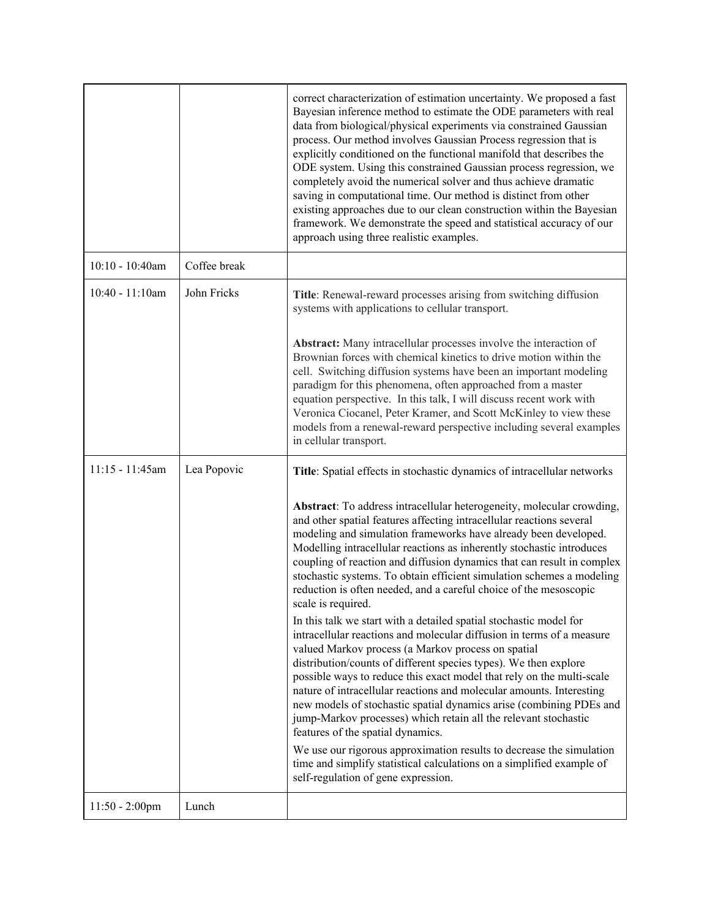|                    |              | correct characterization of estimation uncertainty. We proposed a fast<br>Bayesian inference method to estimate the ODE parameters with real<br>data from biological/physical experiments via constrained Gaussian<br>process. Our method involves Gaussian Process regression that is<br>explicitly conditioned on the functional manifold that describes the<br>ODE system. Using this constrained Gaussian process regression, we<br>completely avoid the numerical solver and thus achieve dramatic<br>saving in computational time. Our method is distinct from other<br>existing approaches due to our clean construction within the Bayesian<br>framework. We demonstrate the speed and statistical accuracy of our<br>approach using three realistic examples.                                                                                                                                                                                                                                                                                                                                      |
|--------------------|--------------|-------------------------------------------------------------------------------------------------------------------------------------------------------------------------------------------------------------------------------------------------------------------------------------------------------------------------------------------------------------------------------------------------------------------------------------------------------------------------------------------------------------------------------------------------------------------------------------------------------------------------------------------------------------------------------------------------------------------------------------------------------------------------------------------------------------------------------------------------------------------------------------------------------------------------------------------------------------------------------------------------------------------------------------------------------------------------------------------------------------|
| $10:10 - 10:40$ am | Coffee break |                                                                                                                                                                                                                                                                                                                                                                                                                                                                                                                                                                                                                                                                                                                                                                                                                                                                                                                                                                                                                                                                                                             |
| $10:40 - 11:10$ am | John Fricks  | Title: Renewal-reward processes arising from switching diffusion<br>systems with applications to cellular transport.                                                                                                                                                                                                                                                                                                                                                                                                                                                                                                                                                                                                                                                                                                                                                                                                                                                                                                                                                                                        |
|                    |              | Abstract: Many intracellular processes involve the interaction of<br>Brownian forces with chemical kinetics to drive motion within the<br>cell. Switching diffusion systems have been an important modeling<br>paradigm for this phenomena, often approached from a master<br>equation perspective. In this talk, I will discuss recent work with<br>Veronica Ciocanel, Peter Kramer, and Scott McKinley to view these<br>models from a renewal-reward perspective including several examples<br>in cellular transport.                                                                                                                                                                                                                                                                                                                                                                                                                                                                                                                                                                                     |
| $11:15 - 11:45am$  | Lea Popovic  | Title: Spatial effects in stochastic dynamics of intracellular networks                                                                                                                                                                                                                                                                                                                                                                                                                                                                                                                                                                                                                                                                                                                                                                                                                                                                                                                                                                                                                                     |
|                    |              | Abstract: To address intracellular heterogeneity, molecular crowding,<br>and other spatial features affecting intracellular reactions several<br>modeling and simulation frameworks have already been developed.<br>Modelling intracellular reactions as inherently stochastic introduces<br>coupling of reaction and diffusion dynamics that can result in complex<br>stochastic systems. To obtain efficient simulation schemes a modeling<br>reduction is often needed, and a careful choice of the mesoscopic<br>scale is required.<br>In this talk we start with a detailed spatial stochastic model for<br>intracellular reactions and molecular diffusion in terms of a measure<br>valued Markov process (a Markov process on spatial<br>distribution/counts of different species types). We then explore<br>possible ways to reduce this exact model that rely on the multi-scale<br>nature of intracellular reactions and molecular amounts. Interesting<br>new models of stochastic spatial dynamics arise (combining PDEs and<br>jump-Markov processes) which retain all the relevant stochastic |
|                    |              | features of the spatial dynamics.<br>We use our rigorous approximation results to decrease the simulation<br>time and simplify statistical calculations on a simplified example of<br>self-regulation of gene expression.                                                                                                                                                                                                                                                                                                                                                                                                                                                                                                                                                                                                                                                                                                                                                                                                                                                                                   |
| $11:50 - 2:00$ pm  | Lunch        |                                                                                                                                                                                                                                                                                                                                                                                                                                                                                                                                                                                                                                                                                                                                                                                                                                                                                                                                                                                                                                                                                                             |